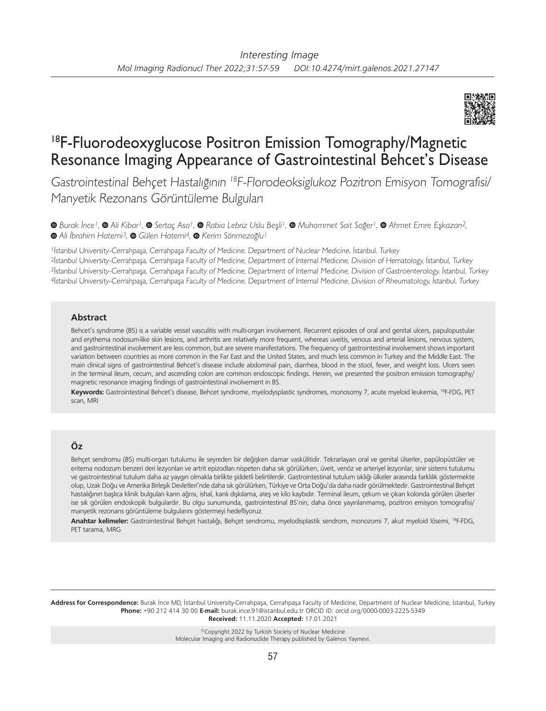

# 18F-Fluorodeoxyglucose Positron Emission Tomography/Magnetic Resonance Imaging Appearance of Gastrointestinal Behcet's Disease

Gastrointestinal Behçet Hastalığının <sup>18</sup>F-Florodeoksiglukoz Pozitron Emisyon Tomografisi/ Manyetik Rezonans Görüntüleme Bulguları

*Burak İnce1, Ali Kibar1,Sertaç Asa1,Rabia Lebriz Uslu Beşli1,Muhammet Sait Sağer1,Ahmet Emre Eşkazan2,*   $\bullet$ Ali İbrahim Hatemi<sup>3</sup>, **⊙** Gülen Hatemi<sup>4</sup>, **⊙** Kerim Sönmezoğlu<sup>1</sup>

İstanbul University-Cerrahpaşa, Cerrahpaşa Faculty of Medicine, Department of Nuclear Medicine, İstanbul, Turkey İstanbul University-Cerrahpaşa, Cerrahpaşa Faculty of Medicine, Department of Internal Medicine, Division of Hematology, İstanbul, Turkey İstanbul University-Cerrahpaşa, Cerrahpaşa Faculty of Medicine, Department of Internal Medicine, Division of Gastroenterology, İstanbul, Turkey İstanbul University-Cerrahpaşa, Cerrahpaşa Faculty of Medicine, Department of Internal Medicine, Division of Rheumatology, İstanbul, Turkey

#### **Abstract**

Behcet's syndrome (BS) is a variable vessel vasculitis with multi-organ involvement. Recurrent episodes of oral and genital ulcers, papulopustular and erythema nodosum-like skin lesions, and arthritis are relatively more frequent, whereas uveitis, venous and arterial lesions, nervous system, and gastrointestinal involvement are less common, but are severe manifestations. The frequency of gastrointestinal involvement shows important variation between countries as more common in the Far East and the United States, and much less common in Turkey and the Middle East. The main clinical signs of gastrointestinal Behcet's disease include abdominal pain, diarrhea, blood in the stool, fever, and weight loss. Ulcers seen in the terminal ileum, cecum, and ascending colon are common endoscopic findings. Herein, we presented the positron emission tomography/ magnetic resonance imaging findings of gastrointestinal involvement in BS.

**Keywords:** Gastrointestinal Behcet's disease, Behcet syndrome, myelodysplastic syndromes, monosomy 7, acute myeloid leukemia, 18F-FDG, PET scan, MRI

## **Öz**

Behçet sendromu (BS) multi-organ tutulumu ile seyreden bir değişken damar vaskülitidir. Tekrarlayan oral ve genital ülserler, papülopüstüler ve eritema nodozum benzeri deri lezyonları ve artrit epizodları nispeten daha sık görülürken, üveit, venöz ve arteriyel lezyonlar, sinir sistemi tutulumu ve gastrointestinal tutulum daha az yaygın olmakla birlikte şiddetli belirtilerdir. Gastrointestinal tutulum sıklığı ülkeler arasında farklılık göstermekte olup, Uzak Doğu ve Amerika Birleşik Devletleri'nde daha sık görülürken, Türkiye ve Orta Doğu'da daha nadir görülmektedir. Gastrointestinal Behçet hastalığının başlıca klinik bulguları karın ağrısı, ishal, kanlı dışkılama, ateş ve kilo kaybıdır. Terminal ileum, çekum ve çıkan kolonda görülen ülserler ise sık görülen endoskopik bulgulardır. Bu olgu sunumunda, gastrointestinal BS'nin, daha önce yayınlanmamış, pozitron emisyon tomografisi/ manyetik rezonans görüntüleme bulgularını göstermeyi hedefliyoruz.

**Anahtar kelimeler:** Gastrointestinal Behçet hastalığı, Behçet sendromu, myelodisplastik sendrom, monozomi 7, akut myeloid lösemi, 18F-FDG, PET tarama, MRG

**Address for Correspondence:** Burak İnce MD, İstanbul University-Cerrahpaşa, Cerrahpaşa Faculty of Medicine, Department of Nuclear Medicine, İstanbul, Turkey **Phone:** +90 212 414 30 00 **E-mail:** burak.ince.91@istanbul.edu.tr ORCID ID: orcid.org/0000-0003-2225-5349 **Received:** 11.11.2020 **Accepted:** 17.01.2021

> ©Copyright 2022 by Turkish Society of Nuclear Medicine Molecular Imaging and Radionuclide Therapy published by Galenos Yayınevi.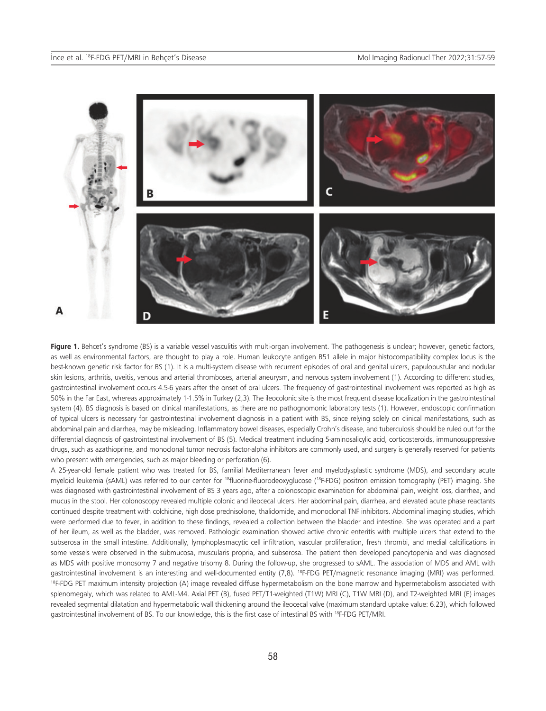

Figure 1. Behcet's syndrome (BS) is a variable vessel vasculitis with multi-organ involvement. The pathogenesis is unclear; however, genetic factors, as well as environmental factors, are thought to play a role. Human leukocyte antigen B51 allele in major histocompatibility complex locus is the best-known genetic risk factor for BS (1). It is a multi-system disease with recurrent episodes of oral and genital ulcers, papulopustular and nodular skin lesions, arthritis, uveitis, venous and arterial thromboses, arterial aneurysm, and nervous system involvement (1). According to different studies, gastrointestinal involvement occurs 4.5-6 years after the onset of oral ulcers. The frequency of gastrointestinal involvement was reported as high as 50% in the Far East, whereas approximately 1-1.5% in Turkey (2,3). The ileocolonic site is the most frequent disease localization in the gastrointestinal system (4). BS diagnosis is based on clinical manifestations, as there are no pathognomonic laboratory tests (1). However, endoscopic confirmation of typical ulcers is necessary for gastrointestinal involvement diagnosis in a patient with BS, since relying solely on clinical manifestations, such as abdominal pain and diarrhea, may be misleading. Inflammatory bowel diseases, especially Crohn's disease, and tuberculosis should be ruled out for the differential diagnosis of gastrointestinal involvement of BS (5). Medical treatment including 5-aminosalicylic acid, corticosteroids, immunosuppressive drugs, such as azathioprine, and monoclonal tumor necrosis factor-alpha inhibitors are commonly used, and surgery is generally reserved for patients who present with emergencies, such as major bleeding or perforation (6).

A 25-year-old female patient who was treated for BS, familial Mediterranean fever and myelodysplastic syndrome (MDS), and secondary acute myeloid leukemia (sAML) was referred to our center for 18fluorine-fluorodeoxyglucose (18F-FDG) positron emission tomography (PET) imaging. She was diagnosed with gastrointestinal involvement of BS 3 years ago, after a colonoscopic examination for abdominal pain, weight loss, diarrhea, and mucus in the stool. Her colonoscopy revealed multiple colonic and ileocecal ulcers. Her abdominal pain, diarrhea, and elevated acute phase reactants continued despite treatment with colchicine, high dose prednisolone, thalidomide, and monoclonal TNF inhibitors. Abdominal imaging studies, which were performed due to fever, in addition to these findings, revealed a collection between the bladder and intestine. She was operated and a part of her ileum, as well as the bladder, was removed. Pathologic examination showed active chronic enteritis with multiple ulcers that extend to the subserosa in the small intestine. Additionally, lymphoplasmacytic cell infiltration, vascular proliferation, fresh thrombi, and medial calcifications in some vessels were observed in the submucosa, muscularis propria, and subserosa. The patient then developed pancytopenia and was diagnosed as MDS with positive monosomy 7 and negative trisomy 8. During the follow-up, she progressed to sAML. The association of MDS and AML with gastrointestinal involvement is an interesting and well-documented entity (7,8). <sup>18</sup>F-FDG PET/magnetic resonance imaging (MRI) was performed. <sup>18F</sup>-FDG PET maximum intensity projection (A) image revealed diffuse hypermetabolism on the bone marrow and hypermetabolism associated with splenomegaly, which was related to AML-M4. Axial PET (B), fused PET/T1-weighted (T1W) MRI (C), T1W MRI (D), and T2-weighted MRI (E) images revealed segmental dilatation and hypermetabolic wall thickening around the ileocecal valve (maximum standard uptake value: 6.23), which followed gastrointestinal involvement of BS. To our knowledge, this is the first case of intestinal BS with 18F-FDG PET/MRI.